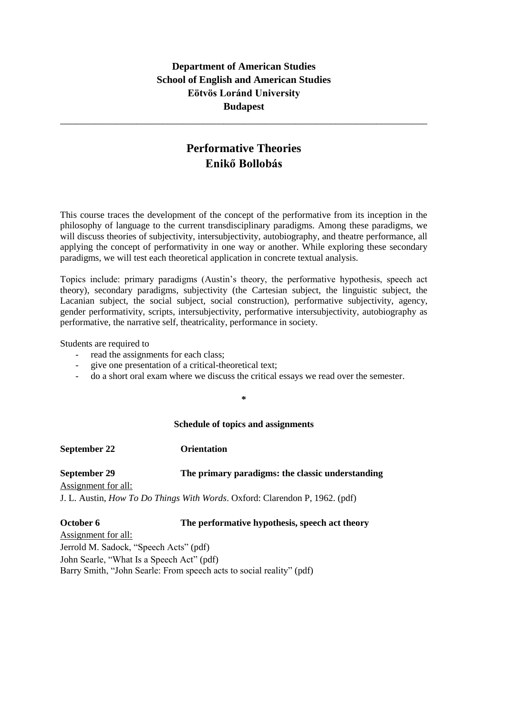# **Department of American Studies School of English and American Studies Eötvös Loránd University Budapest**

\_\_\_\_\_\_\_\_\_\_\_\_\_\_\_\_\_\_\_\_\_\_\_\_\_\_\_\_\_\_\_\_\_\_\_\_\_\_\_\_\_\_\_\_\_\_\_\_\_\_\_\_\_\_\_\_\_\_\_\_\_\_\_\_\_\_\_\_\_\_\_\_

# **Performative Theories Enikő Bollobás**

This course traces the development of the concept of the performative from its inception in the philosophy of language to the current transdisciplinary paradigms. Among these paradigms, we will discuss theories of subjectivity, intersubjectivity, autobiography, and theatre performance, all applying the concept of performativity in one way or another. While exploring these secondary paradigms, we will test each theoretical application in concrete textual analysis.

Topics include: primary paradigms (Austin's theory, the performative hypothesis, speech act theory), secondary paradigms, subjectivity (the Cartesian subject, the linguistic subject, the Lacanian subject, the social subject, social construction), performative subjectivity, agency, gender performativity, scripts, intersubjectivity, performative intersubjectivity, autobiography as performative, the narrative self, theatricality, performance in society.

Students are required to

- read the assignments for each class;
- give one presentation of a critical-theoretical text;
- do a short oral exam where we discuss the critical essays we read over the semester.

**\***

#### **Schedule of topics and assignments**

**September 22 Orientation**

### **September 29 The primary paradigms: the classic understanding**

Assignment for all:

J. L. Austin, *How To Do Things With Words*. Oxford: Clarendon P, 1962. (pdf)

# **October 6 The performative hypothesis, speech act theory**

Assignment for all: Jerrold M. Sadock, "Speech Acts" (pdf) John Searle, "What Is a Speech Act" (pdf) Barry Smith, "John Searle: From speech acts to social reality" (pdf)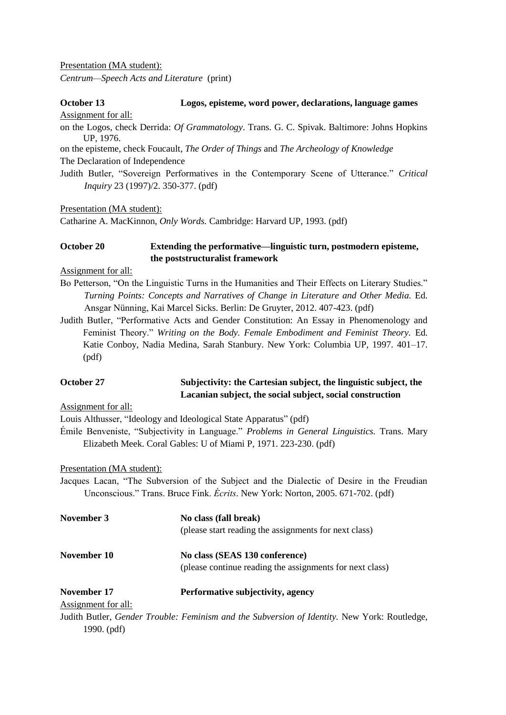Presentation (MA student):

*Centrum—Speech Acts and Literature* (print)

### **October 13 Logos, episteme, word power, declarations, language games**

Assignment for all:

on the Logos, check Derrida: *Of Grammatology*. Trans. G. C. Spivak. Baltimore: Johns Hopkins UP, 1976.

on the episteme, check Foucault, *The Order of Things* and *The Archeology of Knowledge* The Declaration of Independence

Judith Butler, "Sovereign Performatives in the Contemporary Scene of Utterance." *Critical Inquiry* 23 (1997)/2. 350-377. (pdf)

Presentation (MA student):

Catharine A. MacKinnon, *Only Words.* Cambridge: Harvard UP, 1993. (pdf)

# **October 20 Extending the performative—linguistic turn, postmodern episteme, the poststructuralist framework**

Assignment for all:

- Bo Petterson, "On the Linguistic Turns in the Humanities and Their Effects on Literary Studies." *Turning Points: Concepts and Narratives of Change in Literature and Other Media.* Ed. Ansgar Nünning, Kai Marcel Sicks. Berlin: De Gruyter, 2012. 407-423. (pdf)
- Judith Butler, "Performative Acts and Gender Constitution: An Essay in Phenomenology and Feminist Theory." *Writing on the Body. Female Embodiment and Feminist Theory.* Ed. Katie Conboy, Nadia Medina, Sarah Stanbury. New York: Columbia UP, 1997. 401–17. (pdf)

# **October 27 Subjectivity: the Cartesian subject, the linguistic subject, the Lacanian subject, the social subject, social construction**

Assignment for all:

Louis Althusser, "Ideology and Ideological State Apparatus" (pdf)

Émile Benveniste, "Subjectivity in Language." *Problems in General Linguistics.* Trans. Mary Elizabeth Meek. Coral Gables: U of Miami P, 1971. 223-230. (pdf)

Presentation (MA student):

Jacques Lacan, "The Subversion of the Subject and the Dialectic of Desire in the Freudian Unconscious." Trans. Bruce Fink. *Écrits*. New York: Norton, 2005. 671-702. (pdf)

| November 3          | No class (fall break)<br>(please start reading the assignments for next class)              |
|---------------------|---------------------------------------------------------------------------------------------|
| November 10         | No class (SEAS 130 conference)                                                              |
|                     | (please continue reading the assignments for next class)                                    |
| November 17         | Performative subjectivity, agency                                                           |
| Assignment for all: |                                                                                             |
|                     | Indith Dutley, Candan Tuaublay Faminian and the Cubyangian of Identity, Now Youth Doutledge |

Judith Butler, *Gender Trouble: Feminism and the Subversion of Identity.* New York: Routledge, 1990. (pdf)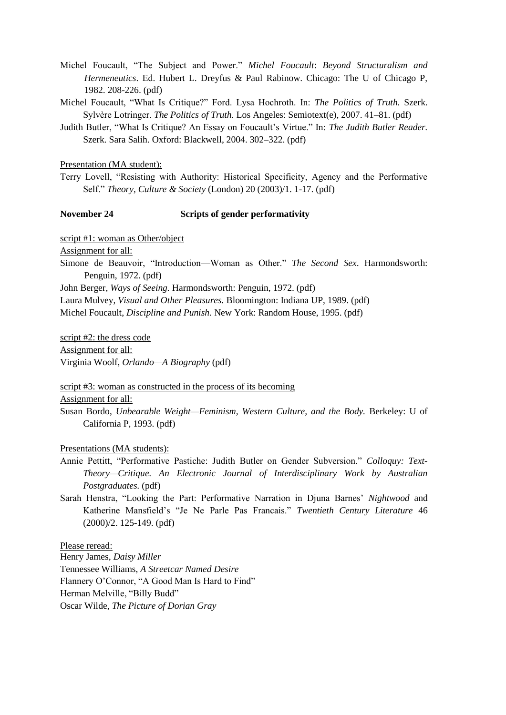- Michel Foucault, "The Subject and Power." *Michel Foucault*: *Beyond Structuralism and Hermeneutics*. Ed. Hubert L. Dreyfus & Paul Rabinow. Chicago: The U of Chicago P, 1982. 208-226. (pdf)
- Michel Foucault, "What Is Critique?" Ford. Lysa Hochroth. In: *The Politics of Truth.* Szerk. Sylvère Lotringer. *The Politics of Truth.* Los Angeles: Semiotext(e), 2007. 41–81. (pdf)
- Judith Butler, "What Is Critique? An Essay on Foucault's Virtue." In: *The Judith Butler Reader.* Szerk. Sara Salih. Oxford: Blackwell, 2004. 302–322. (pdf)

Presentation (MA student):

Terry Lovell, "Resisting with Authority: Historical Specificity, Agency and the Performative Self." *Theory, Culture & Society* (London) 20 (2003)/1. 1-17. (pdf)

#### **November 24 Scripts of gender performativity**

script #1: woman as Other/object

Assignment for all:

Simone de Beauvoir, "Introduction—Woman as Other." *The Second Sex*. Harmondsworth: Penguin, 1972. (pdf)

John Berger, *Ways of Seeing.* Harmondsworth: Penguin, 1972. (pdf)

Laura Mulvey, *Visual and Other Pleasures.* Bloomington: Indiana UP, 1989. (pdf)

Michel Foucault, *Discipline and Punish.* New York: Random House, 1995. (pdf)

script #2: the dress code Assignment for all: Virginia Woolf, *Orlando—A Biography* (pdf)

script #3: woman as constructed in the process of its becoming

Assignment for all:

Susan Bordo, *Unbearable Weight—Feminism, Western Culture, and the Body.* Berkeley: U of California P, 1993. (pdf)

### Presentations (MA students):

- Annie Pettitt, "Performative Pastiche: Judith Butler on Gender Subversion." *Colloquy: Text-Theory—Critique. An Electronic Journal of Interdisciplinary Work by Australian Postgraduates.* (pdf)
- Sarah Henstra, "Looking the Part: Performative Narration in Djuna Barnes' *Nightwood* and Katherine Mansfield's "Je Ne Parle Pas Francais." *Twentieth Century Literature* 46 (2000)/2. 125-149. (pdf)

Please reread:

Henry James, *Daisy Miller* Tennessee Williams, *A Streetcar Named Desire* Flannery O'Connor, "A Good Man Is Hard to Find" Herman Melville, "Billy Budd" Oscar Wilde, *The Picture of Dorian Gray*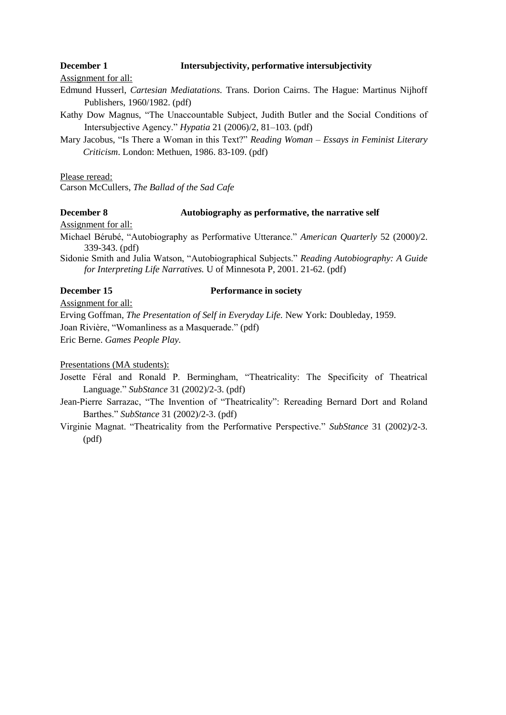### **December 1 Intersubjectivity, performative intersubjectivity**

Assignment for all:

- Edmund Husserl, *Cartesian Mediatations.* Trans. Dorion Cairns. The Hague: Martinus Nijhoff Publishers, 1960/1982. (pdf)
- Kathy Dow Magnus, "The Unaccountable Subject, Judith Butler and the Social Conditions of Intersubjective Agency." *Hypatia* 21 (2006)/2, 81–103. (pdf)
- Mary Jacobus, "Is There a Woman in this Text?" *Reading Woman – Essays in Feminist Literary Criticism*. London: Methuen, 1986. 83-109. (pdf)

Please reread:

Carson McCullers, *The Ballad of the Sad Cafe*

# **December 8 Autobiography as performative, the narrative self**

Assignment for all:

Michael Bérubé, "Autobiography as Performative Utterance." *American Quarterly* 52 (2000)/2. 339-343. (pdf)

Sidonie Smith and Julia Watson, "Autobiographical Subjects." *Reading Autobiography: A Guide for Interpreting Life Narratives.* U of Minnesota P, 2001. 21-62. (pdf)

# **December 15 Performance in society**

Assignment for all:

Erving Goffman, *The Presentation of Self in Everyday Life.* New York: Doubleday, 1959.

Joan Rivière, "Womanliness as a Masquerade." (pdf)

Eric Berne. *Games People Play.*

Presentations (MA students):

Josette Féral and Ronald P. Bermingham, "Theatricality: The Specificity of Theatrical Language." *SubStance* 31 (2002)/2-3. (pdf)

Jean-Pierre Sarrazac, "The Invention of "Theatricality": Rereading Bernard Dort and Roland Barthes." *SubStance* 31 (2002)/2-3. (pdf)

Virginie Magnat. "Theatricality from the Performative Perspective." *SubStance* 31 (2002)/2-3. (pdf)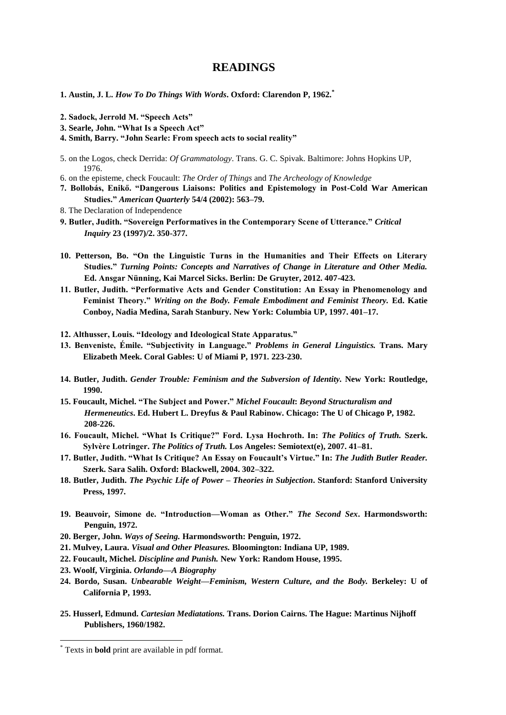# **READINGS**

- **1. Austin, J. L.** *How To Do Things With Words***. Oxford: Clarendon P, 1962.\***
- **2. Sadock, Jerrold M. "Speech Acts"**
- **3. Searle, John. "What Is a Speech Act"**
- **4. Smith, Barry. "John Searle: From speech acts to social reality"**
- 5. on the Logos, check Derrida: *Of Grammatology*. Trans. G. C. Spivak. Baltimore: Johns Hopkins UP, 1976.
- 6. on the episteme, check Foucault: *The Order of Things* and *The Archeology of Knowledge*
- **7. Bollobás, Enikő. "Dangerous Liaisons: Politics and Epistemology in Post-Cold War American Studies."** *American Quarterly* **54/4 (2002): 563–79.**
- 8. The Declaration of Independence
- **9. Butler, Judith. "Sovereign Performatives in the Contemporary Scene of Utterance."** *Critical Inquiry* **23 (1997)/2. 350-377.**
- **10. Petterson, Bo. "On the Linguistic Turns in the Humanities and Their Effects on Literary Studies."** *Turning Points: Concepts and Narratives of Change in Literature and Other Media.*  **Ed. Ansgar Nünning, Kai Marcel Sicks. Berlin: De Gruyter, 2012. 407-423.**
- **11. Butler, Judith. "Performative Acts and Gender Constitution: An Essay in Phenomenology and Feminist Theory."** *Writing on the Body. Female Embodiment and Feminist Theory.* **Ed. Katie Conboy, Nadia Medina, Sarah Stanbury. New York: Columbia UP, 1997. 401–17.**
- **12. Althusser, Louis. "Ideology and Ideological State Apparatus."**
- **13. Benveniste, Émile. "Subjectivity in Language."** *Problems in General Linguistics.* **Trans. Mary Elizabeth Meek. Coral Gables: U of Miami P, 1971. 223-230.**
- **14. Butler, Judith.** *Gender Trouble: Feminism and the Subversion of Identity.* **New York: Routledge, 1990.**
- **15. Foucault, Michel. "The Subject and Power."** *Michel Foucault***:** *Beyond Structuralism and Hermeneutics***. Ed. Hubert L. Dreyfus & Paul Rabinow. Chicago: The U of Chicago P, 1982. 208-226.**
- **16. Foucault, Michel. "What Is Critique?" Ford. Lysa Hochroth. In:** *The Politics of Truth.* **Szerk. Sylvère Lotringer.** *The Politics of Truth.* **Los Angeles: Semiotext(e), 2007. 41–81.**
- **17. Butler, Judith. "What Is Critique? An Essay on Foucault's Virtue." In:** *The Judith Butler Reader.* **Szerk. Sara Salih. Oxford: Blackwell, 2004. 302–322.**
- **18. Butler, Judith.** *The Psychic Life of Power – Theories in Subjection***. Stanford: Stanford University Press, 1997.**
- **19. Beauvoir, Simone de. "Introduction—Woman as Other."** *The Second Sex***. Harmondsworth: Penguin, 1972.**
- **20. Berger, John.** *Ways of Seeing.* **Harmondsworth: Penguin, 1972.**
- **21. Mulvey, Laura.** *Visual and Other Pleasures.* **Bloomington: Indiana UP, 1989.**
- **22. Foucault, Michel.** *Discipline and Punish.* **New York: Random House, 1995.**
- **23. Woolf, Virginia.** *Orlando—A Biography*
- **24. Bordo, Susan.** *Unbearable Weight—Feminism, Western Culture, and the Body.* **Berkeley: U of California P, 1993.**
- **25. Husserl, Edmund.** *Cartesian Mediatations.* **Trans. Dorion Cairns. The Hague: Martinus Nijhoff Publishers, 1960/1982.**

1

<sup>\*</sup> Texts in **bold** print are available in pdf format.